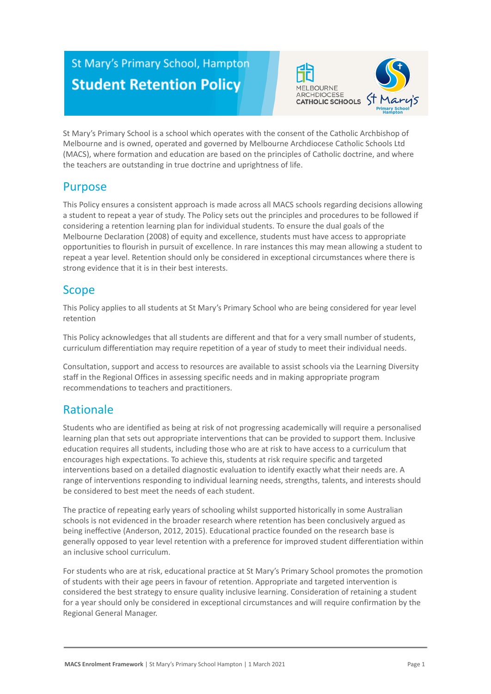# St Mary's Primary School, Hampton **Student Retention Policy**



St Mary's Primary School is a school which operates with the consent of the Catholic Archbishop of Melbourne and is owned, operated and governed by Melbourne Archdiocese Catholic Schools Ltd (MACS), where formation and education are based on the principles of Catholic doctrine, and where the teachers are outstanding in true doctrine and uprightness of life.

### Purpose

This Policy ensures a consistent approach is made across all MACS schools regarding decisions allowing a student to repeat a year of study. The Policy sets out the principles and procedures to be followed if considering a retention learning plan for individual students. To ensure the dual goals of the Melbourne Declaration (2008) of equity and excellence, students must have access to appropriate opportunities to flourish in pursuit of excellence. In rare instances this may mean allowing a student to repeat a year level. Retention should only be considered in exceptional circumstances where there is strong evidence that it is in their best interests.

### Scope

This Policy applies to all students at St Mary's Primary School who are being considered for year level retention

This Policy acknowledges that all students are different and that for a very small number of students, curriculum differentiation may require repetition of a year of study to meet their individual needs.

Consultation, support and access to resources are available to assist schools via the Learning Diversity staff in the Regional Offices in assessing specific needs and in making appropriate program recommendations to teachers and practitioners.

### Rationale

Students who are identified as being at risk of not progressing academically will require a personalised learning plan that sets out appropriate interventions that can be provided to support them. Inclusive education requires all students, including those who are at risk to have access to a curriculum that encourages high expectations. To achieve this, students at risk require specific and targeted interventions based on a detailed diagnostic evaluation to identify exactly what their needs are. A range of interventions responding to individual learning needs, strengths, talents, and interests should be considered to best meet the needs of each student.

The practice of repeating early years of schooling whilst supported historically in some Australian schools is not evidenced in the broader research where retention has been conclusively argued as being ineffective (Anderson, 2012, 2015). Educational practice founded on the research base is generally opposed to year level retention with a preference for improved student differentiation within an inclusive school curriculum.

For students who are at risk, educational practice at St Mary's Primary School promotes the promotion of students with their age peers in favour of retention. Appropriate and targeted intervention is considered the best strategy to ensure quality inclusive learning. Consideration of retaining a student for a year should only be considered in exceptional circumstances and will require confirmation by the Regional General Manager.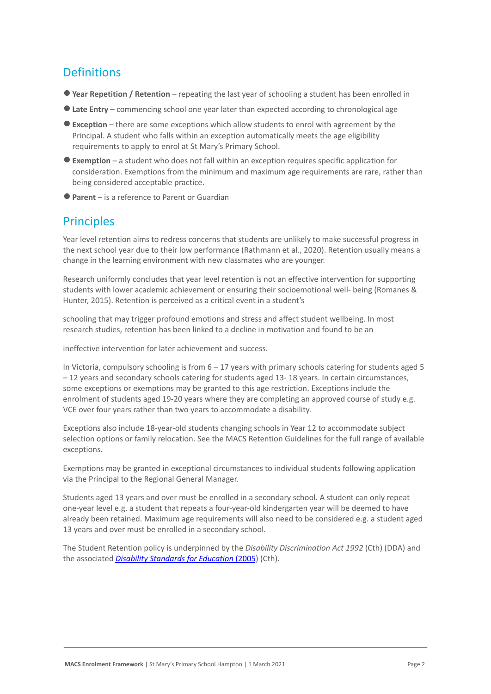## **Definitions**

- ●**Year Repetition / Retention** repeating the last year of schooling a student has been enrolled in
- ●**Late Entry** commencing school one year later than expected according to chronological age
- ●**Exception** there are some exceptions which allow students to enrol with agreement by the Principal. A student who falls within an exception automatically meets the age eligibility requirements to apply to enrol at St Mary's Primary School.
- ●**Exemption** a student who does not fall within an exception requires specific application for consideration. Exemptions from the minimum and maximum age requirements are rare, rather than being considered acceptable practice.
- ●**Parent** is a reference to Parent or Guardian

### **Principles**

Year level retention aims to redress concerns that students are unlikely to make successful progress in the next school year due to their low performance (Rathmann et al., 2020). Retention usually means a change in the learning environment with new classmates who are younger.

Research uniformly concludes that year level retention is not an effective intervention for supporting students with lower academic achievement or ensuring their socioemotional well- being (Romanes & Hunter, 2015). Retention is perceived as a critical event in a student's

schooling that may trigger profound emotions and stress and affect student wellbeing. In most research studies, retention has been linked to a decline in motivation and found to be an

ineffective intervention for later achievement and success.

In Victoria, compulsory schooling is from  $6 - 17$  years with primary schools catering for students aged 5 – 12 years and secondary schools catering for students aged 13- 18 years. In certain circumstances, some exceptions or exemptions may be granted to this age restriction. Exceptions include the enrolment of students aged 19-20 years where they are completing an approved course of study e.g. VCE over four years rather than two years to accommodate a disability.

Exceptions also include 18-year-old students changing schools in Year 12 to accommodate subject selection options or family relocation. See the MACS Retention Guidelines for the full range of available exceptions.

Exemptions may be granted in exceptional circumstances to individual students following application via the Principal to the Regional General Manager.

Students aged 13 years and over must be enrolled in a secondary school. A student can only repeat one-year level e.g. a student that repeats a four-year-old kindergarten year will be deemed to have already been retained. Maximum age requirements will also need to be considered e.g. a student aged 13 years and over must be enrolled in a secondary school.

The Student Retention policy is underpinned by the *Disability Discrimination Act 1992* (Cth) (DDA) and the associated *[Disability Standards for Education](https://www.education.gov.au/disability-standards-education-2005)* (2005) (Cth).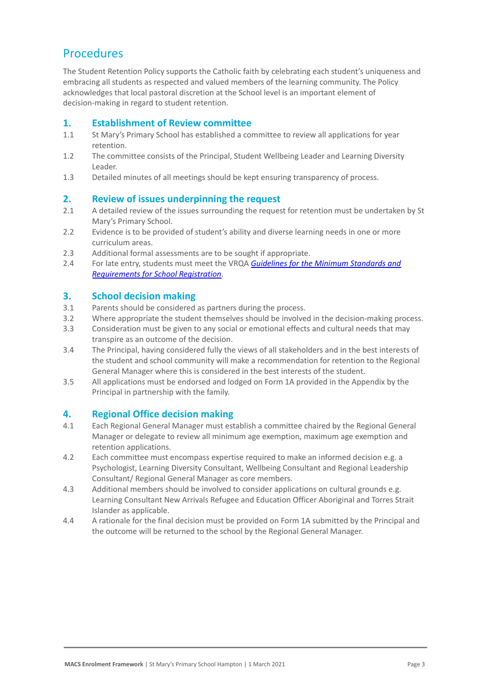### Procedures

The Student Retention Policy supports the Catholic faith by celebrating each student's uniqueness and embracing all students as respected and valued members of the learning community. The Policy acknowledges that local pastoral discretion at the School level is an important element of decision-making in regard to student retention.

#### **1. Establishment of Review committee**

- 1.1 St Mary's Primary School has established a committee to review all applications for year retention.
- 1.2 The committee consists of the Principal, Student Wellbeing Leader and Learning Diversity Leader.
- 1.3 Detailed minutes of all meetings should be kept ensuring transparency of process.

#### **2. Review of issues underpinning the request**

- 2.1 A detailed review of the issues surrounding the request for retention must be undertaken by St Mary's Primary School.
- 2.2 Evidence is to be provided of student's ability and diverse learning needs in one or more curriculum areas.
- 2.3 Additional formal assessments are to be sought if appropriate.
- 2.4 For late entry, students must meet the VRQA *Guidelines [for the Minimum Standards and](https://www.vrqa.vic.gov.au/Documents/schoolstandards.docx) [Requirements for School Registration](https://www.vrqa.vic.gov.au/Documents/schoolstandards.docx)*.

#### **3. School decision making**

- 3.1 Parents should be considered as partners during the process.
- 3.2 Where appropriate the student themselves should be involved in the decision-making process.
- 3.3 Consideration must be given to any social or emotional effects and cultural needs that may transpire as an outcome of the decision.
- 3.4 The Principal, having considered fully the views of all stakeholders and in the best interests of the student and school community will make a recommendation for retention to the Regional General Manager where this is considered in the best interests of the student.
- 3.5 All applications must be endorsed and lodged on Form 1A provided in the Appendix by the Principal in partnership with the family.

#### **4. Regional Office decision making**

- 4.1 Each Regional General Manager must establish a committee chaired by the Regional General Manager or delegate to review all minimum age exemption, maximum age exemption and retention applications.
- 4.2 Each committee must encompass expertise required to make an informed decision e.g. a Psychologist, Learning Diversity Consultant, Wellbeing Consultant and Regional Leadership Consultant/ Regional General Manager as core members.
- 4.3 Additional members should be involved to consider applications on cultural grounds e.g. Learning Consultant New Arrivals Refugee and Education Officer Aboriginal and Torres Strait Islander as applicable.
- 4.4 A rationale for the final decision must be provided on Form 1A submitted by the Principal and the outcome will be returned to the school by the Regional General Manager.